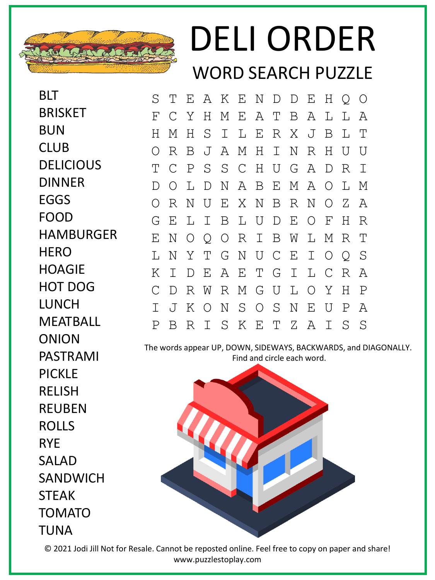

## DELI ORDER WORD SEARCH PUZZLE

BLT **BRISKET** BUN CLUB **DELICIOUS DINNER** EGGS FOOD HAMBURGER **HERO** HOAGIE HOT DOG LUNCH MEATBALL ONION PASTRAMI PICKLE RELISH REUBEN ROLLS RYE SALAD SANDWICH STEAK TOMATO TUNA

| S  | T             |             |  |                 |  | E A K E N D D E H Q O |   |     |                |  |
|----|---------------|-------------|--|-----------------|--|-----------------------|---|-----|----------------|--|
| F  | $\mathcal{C}$ | Y           |  |                 |  | H M E A T B A         | L | L A |                |  |
| H  | М             |             |  |                 |  | H S I L E R X J       | B | L   | T              |  |
| O  | R             | B           |  | J A M H I N     |  | R                     | H | U   | $\overline{U}$ |  |
| Т  | $\mathcal{C}$ |             |  |                 |  | P S S C H U G A       | D | R   | $\mathbf I$    |  |
| D. | $\bigcirc$    | L           |  |                 |  | D N A B E M A O L M   |   |     |                |  |
| 0  | R             | $\mathbb N$ |  |                 |  | U E X N B R N O Z     |   |     | A              |  |
| G  | - E           |             |  |                 |  | L I B L U D E O F     |   | H   | R              |  |
| Ε  | N             |             |  |                 |  | O Q O R I B W L M     |   | R   | $\mathbb{T}$   |  |
| L  | N             |             |  |                 |  | Y T G N U C E I O Q   |   |     | - S            |  |
| Κ  | I.            | D           |  |                 |  | EAETGILC              |   | R   | Α              |  |
| C  | D             |             |  |                 |  | R W R M G U L O Y     |   | H   | $\mathbf P$    |  |
|    |               |             |  | J K O N S O S N |  | $\mathbf{E}$          | U | Ρ   | A              |  |
| Ρ  | B             |             |  |                 |  | R I S K E T Z A I     |   | - S | S              |  |

The words appear UP, DOWN, SIDEWAYS, BACKWARDS, and DIAGONALLY. Find and circle each word.



© 2021 Jodi Jill Not for Resale. Cannot be reposted online. Feel free to copy on paper and share! www.puzzlestoplay.com